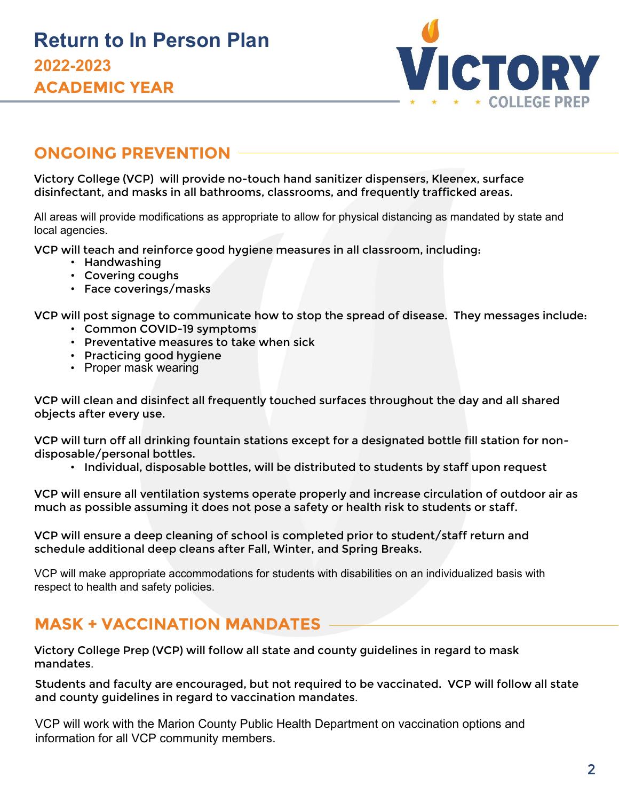

# **ONGOING PREVENTION**

Victory College (VCP) will provide no-touch hand sanitizer dispensers, Kleenex, surface disinfectant, and masks in all bathrooms, classrooms, and frequently trafficked areas.

All areas will provide modifications as appropriate to allow for physical distancing as mandated by state and local agencies.

VCP will teach and reinforce good hygiene measures in all classroom, including:

- Handwashing
- Covering coughs
- Face coverings/masks

VCP will post signage to communicate how to stop the spread of disease. They messages include:

- Common COVID-19 symptoms
- Preventative measures to take when sick
- Practicing good hygiene
- Proper mask wearing

VCP will clean and disinfect all frequently touched surfaces throughout the day and all shared objects after every use.

VCP will turn off all drinking fountain stations except for a designated bottle fill station for nondisposable/personal bottles.

• Individual, disposable bottles, will be distributed to students by staff upon request

VCP will ensure all ventilation systems operate properly and increase circulation of outdoor air as much as possible assuming it does not pose a safety or health risk to students or staff.

VCP will ensure a deep cleaning of school is completed prior to student/staff return and schedule additional deep cleans after Fall, Winter, and Spring Breaks.

VCP will make appropriate accommodations for students with disabilities on an individualized basis with respect to health and safety policies.

# **MASK + VACCINATION MANDATES**

Victory College Prep (VCP) will follow all state and county guidelines in regard to mask mandates.

Students and faculty are encouraged, but not required to be vaccinated. VCP will follow all state and county guidelines in regard to vaccination mandates.

VCP will work with the Marion County Public Health Department on vaccination options and information for all VCP community members.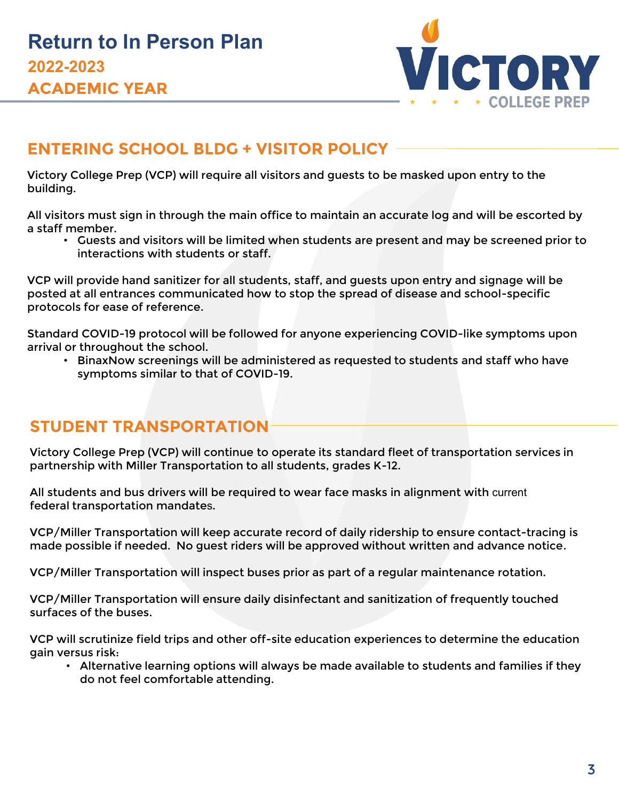

#### **ENTERING SCHOOL BLDG + VISITOR POLICY**

Victory College Prep (VCP) will require all visitors and guests to be masked upon entry to the building.

All visitors must sign in through the main office to maintain an accurate log and will be escorted by a staff member.

• Guests and visitors will be limited when students are present and may be screened prior to interactions with students or staff.

VCP will provide hand sanitizer for all students, staff, and guests upon entry and signage will be posted at all entrances communicated how to stop the spread of disease and school-specific protocols for ease of reference.

Standard COVID-19 protocol will be followed for anyone experiencing COVID-like symptoms upon arrival or throughout the school.

• BinaxNow screenings will be administered as requested to students and staff who have symptoms similar to that of COVID-19.

#### **STUDENT TRANSPORTATION**

Victory College Prep (VCP) will continue to operate its standard fleet of transportation services in partnership with Miller Transportation to all students, grades K-12.

All students and bus drivers will be required to wear face masks in alignment with current federal transportation mandates.

VCP/Miller Transportation will keep accurate record of daily ridership to ensure contact-tracing is made possible if needed. No guest riders will be approved without written and advance notice.

VCP/Miller Transportation will inspect buses prior as part of a regular maintenance rotation.

VCP/Miller Transportation will ensure daily disinfectant and sanitization of frequently touched surfaces of the buses.

VCP will scrutinize field trips and other off-site education experiences to determine the education gain versus risk:

• Alternative learning options will always be made available to students and families if they do not feel comfortable attending.